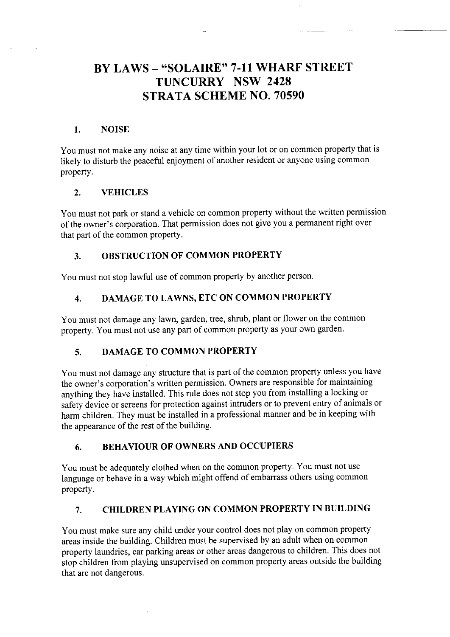# BY LAWS - "SOLAIRE" 7-11 WHARF STREET TUNCURRY NSW 2428 STRATA SCHEME NO. 70590

#### I, NOISE

You must not make any noise at any time within your lot or on common property that is likely to disturb the peaceful enjoyment of another resident or anyone using common property.

#### 2. VEHICLES

You must not park or stand a vehicle on common property without the written permission of the owner's corporation. That permission does not give you a permanent right over that part of the common property.

## 3. OBSTRUCTION OF COMMON PROPERTY

You must not stop lawful use of common property by another person.

## 4. DAMAGE TO LAWNS, ETC ON COMMON PROPERTY

You must not damage any lawn, garden, tree, shrub, plant or flower on the common property. You must not use any part of common property as your own garden.

## 5. DAMAGE TO COMMON PROPERTY

You must not damage any structure that is part of the common property unless you have the owner's corporation's written permission. Owners are responsible for maintaining anything they have installed. This rule does not stop you from installing a locking or safety device or screens for protection against intruders or to prevent entry of animals or harm children. They must be installed in a professional manner and be in keeping with the appearance of the rest of the building.

#### 6. BEHAVIOUR OF OWNERS AND OCCUPIERS

You must be adequately clothed when on the common property. You must not use language or behave in a way which might offend of embarrass others using common property.

## 7. CHILDREN PLAYING ON COMMON PROPERTY IN BUILDING

You must make sure any child under your control does not play on common property areas inside the building. Children must be supervised by an adult when on common property laundries, car parking areas or other areas dangerous to children. This does not stop children from playing unsupervised on common property areas outside the building that are not dangerous.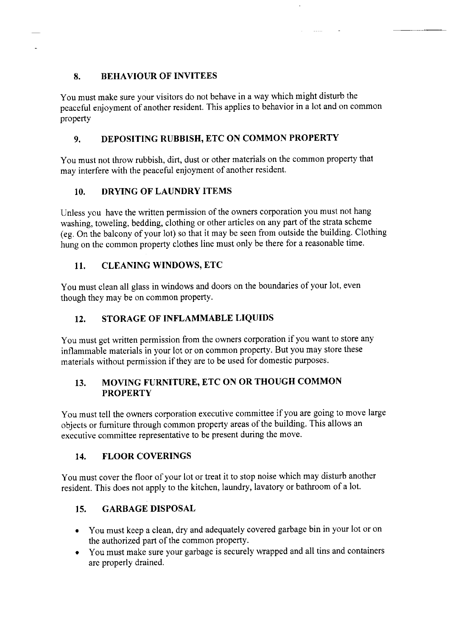## 8, BEHAVIOUR OF INVITEES

You must make sure your visitors do not behave in a way which might disturb the peaceful enjoyment of another resident. This applies to behavior in a lot and on common property

 $\sim 100$ 

## 9. DEPOSITING RUBBISH, ETC ON COMMON PROPERTY

You must not throw rubbish, dirt, dust or other materials on the common property that may interfere with the peaceful enjoyment of another resident.

## 10. DRYING OF LAUNDRY ITEMS

Unless you have the written permission of the owners corporation you must not hang washing, toweling, bedding, clothing or other articles on any part of the strata scheme (eg. On the balcony of your lot) so that it may be seen from outside the building. Clothing hung on the common property clothes line must only be there for a reasonable time.

## II. CLEANING WINDOWS, ETC

You must clean all glass in windows and doors on the boundaries of your lot, even though they may be on common property.

## 12. STORAGE OF INFLAMMABLE LIQUIDS

You must get written permission from the owners corporation if you want to store any inflammable materials in your lot or on common property. But you may store these materials without permission if they are to be used for domestic purposes.

## 13. MOVING FURNITURE, ETC ON OR THOUGH COMMON **PROPERTY**

You must tell the owners corporation executive committee if you are going to move large objects or fumiture through common property areas of the building. This allows an executive committee representative to be present during the move.

#### 14. FLOOR COVERINGS

You must cover the floor of your lot or treat it to stop noise which may disturb another resident. This does not apply to the kitchen, laundry, lavatory or bathroom of a lot.

## 15, GARBAGEDISPOSAL

- You must keep a clean, dry and adequately covered garbage bin in your lot or on the authorized part of the common property.
- You must make sure your garbage is securely wrapped and all tins and containers are properly drained.